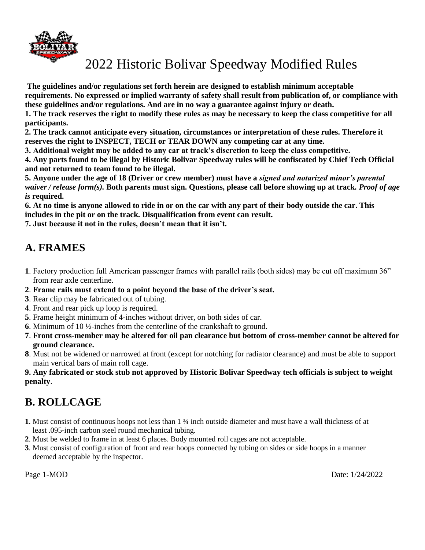

**The guidelines and/or regulations set forth herein are designed to establish minimum acceptable requirements. No expressed or implied warranty of safety shall result from publication of, or compliance with these guidelines and/or regulations. And are in no way a guarantee against injury or death.** 

**1. The track reserves the right to modify these rules as may be necessary to keep the class competitive for all participants.** 

**2. The track cannot anticipate every situation, circumstances or interpretation of these rules. Therefore it reserves the right to INSPECT, TECH or TEAR DOWN any competing car at any time.** 

**3. Additional weight may be added to any car at track's discretion to keep the class competitive.** 

**4. Any parts found to be illegal by Historic Bolivar Speedway rules will be confiscated by Chief Tech Official and not returned to team found to be illegal.** 

**5. Anyone under the age of 18 (Driver or crew member) must have a** *signed and notarized minor's parental waiver / release form(s).* **Both parents must sign. Questions, please call before showing up at track.** *Proof of age is* **required.** 

**6. At no time is anyone allowed to ride in or on the car with any part of their body outside the car. This includes in the pit or on the track. Disqualification from event can result.** 

**7. Just because it not in the rules, doesn't mean that it isn't.**

## **A. FRAMES**

- **1**. Factory production full American passenger frames with parallel rails (both sides) may be cut off maximum 36" from rear axle centerline.
- **2**. **Frame rails must extend to a point beyond the base of the driver's seat.**
- **3**. Rear clip may be fabricated out of tubing.
- **4**. Front and rear pick up loop is required.
- **5**. Frame height minimum of 4-inches without driver, on both sides of car.
- **6**. Minimum of 10 ½-inches from the centerline of the crankshaft to ground.
- **7**. **Front cross-member may be altered for oil pan clearance but bottom of cross-member cannot be altered for ground clearance.**
- **8**. Must not be widened or narrowed at front (except for notching for radiator clearance) and must be able to support main vertical bars of main roll cage.

#### **9. Any fabricated or stock stub not approved by Historic Bolivar Speedway tech officials is subject to weight penalty**.

## **B. ROLLCAGE**

- **1**. Must consist of continuous hoops not less than 1 ¾ inch outside diameter and must have a wall thickness of at least .095-inch carbon steel round mechanical tubing.
- **2**. Must be welded to frame in at least 6 places. Body mounted roll cages are not acceptable.
- **3**. Must consist of configuration of front and rear hoops connected by tubing on sides or side hoops in a manner deemed acceptable by the inspector.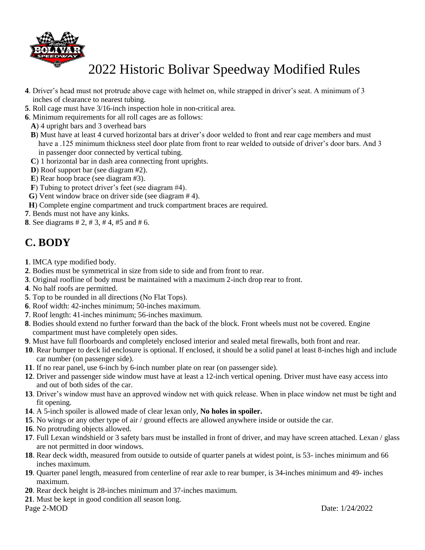

- **4**. Driver's head must not protrude above cage with helmet on, while strapped in driver's seat. A minimum of 3 inches of clearance to nearest tubing.
- **5**. Roll cage must have 3/16-inch inspection hole in non-critical area.
- **6**. Minimum requirements for all roll cages are as follows:
	- **A**) 4 upright bars and 3 overhead bars
	- **B**) Must have at least 4 curved horizontal bars at driver's door welded to front and rear cage members and must have a .125 minimum thickness steel door plate from front to rear welded to outside of driver's door bars. And 3 in passenger door connected by vertical tubing.
	- **C**) 1 horizontal bar in dash area connecting front uprights.
	- **D**) Roof support bar (see diagram #2).
	- **E**) Rear hoop brace (see diagram #3).
	- **F**) Tubing to protect driver's feet (see diagram #4).
- **G**) Vent window brace on driver side (see diagram # 4).
- **H**) Complete engine compartment and truck compartment braces are required.
- **7**. Bends must not have any kinks.

**8**. See diagrams # 2, # 3, # 4, #5 and # 6.

### **C. BODY**

- **1**. IMCA type modified body.
- **2**. Bodies must be symmetrical in size from side to side and from front to rear.
- **3**. Original roofline of body must be maintained with a maximum 2-inch drop rear to front.
- **4**. No half roofs are permitted.
- **5**. Top to be rounded in all directions (No Flat Tops).
- **6**. Roof width: 42-inches minimum; 50-inches maximum.
- **7**. Roof length: 41-inches minimum; 56-inches maximum.
- **8**. Bodies should extend no further forward than the back of the block. Front wheels must not be covered. Engine compartment must have completely open sides.
- **9**. Must have full floorboards and completely enclosed interior and sealed metal firewalls, both front and rear.
- **10**. Rear bumper to deck lid enclosure is optional. If enclosed, it should be a solid panel at least 8-inches high and include car number (on passenger side).
- **11**. If no rear panel, use 6-inch by 6-inch number plate on rear (on passenger side).
- **12**. Driver and passenger side window must have at least a 12-inch vertical opening. Driver must have easy access into and out of both sides of the car.
- **13**. Driver's window must have an approved window net with quick release. When in place window net must be tight and fit opening.
- **14**. A 5-inch spoiler is allowed made of clear lexan only, **No holes in spoiler.**
- **15**. No wings or any other type of air / ground effects are allowed anywhere inside or outside the car.
- **16**. No protruding objects allowed.
- **17**. Full Lexan windshield or 3 safety bars must be installed in front of driver, and may have screen attached. Lexan / glass are not permitted in door windows.
- **18**. Rear deck width, measured from outside to outside of quarter panels at widest point, is 53- inches minimum and 66 inches maximum.
- **19**. Quarter panel length, measured from centerline of rear axle to rear bumper, is 34-inches minimum and 49- inches maximum.
- **20**. Rear deck height is 28-inches minimum and 37-inches maximum.
- **21**. Must be kept in good condition all season long.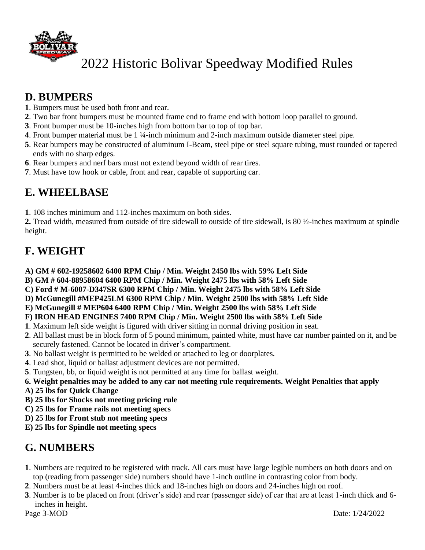

### **D. BUMPERS**

- **1**. Bumpers must be used both front and rear.
- **2**. Two bar front bumpers must be mounted frame end to frame end with bottom loop parallel to ground.
- **3**. Front bumper must be 10-inches high from bottom bar to top of top bar.
- **4**. Front bumper material must be 1 ¼-inch minimum and 2-inch maximum outside diameter steel pipe.
- **5**. Rear bumpers may be constructed of aluminum I-Beam, steel pipe or steel square tubing, must rounded or tapered ends with no sharp edges.
- **6**. Rear bumpers and nerf bars must not extend beyond width of rear tires.
- **7**. Must have tow hook or cable, front and rear, capable of supporting car.

### **E. WHEELBASE**

**1**. 108 inches minimum and 112-inches maximum on both sides.

**2.** Tread width, measured from outside of tire sidewall to outside of tire sidewall, is 80 ½-inches maximum at spindle height.

## **F. WEIGHT**

- **A) GM # 602-19258602 6400 RPM Chip / Min. Weight 2450 lbs with 59% Left Side**
- **B) GM # 604-88958604 6400 RPM Chip / Min. Weight 2475 lbs with 58% Left Side**
- **C) Ford # M-6007-D347SR 6300 RPM Chip / Min. Weight 2475 lbs with 58% Left Side**
- **D) McGunegill #MEP425LM 6300 RPM Chip / Min. Weight 2500 lbs with 58% Left Side**
- **E) McGunegill # MEP604 6400 RPM Chip / Min. Weight 2500 lbs with 58% Left Side**

#### **F) IRON HEAD ENGINES 7400 RPM Chip / Min. Weight 2500 lbs with 58% Left Side**

- **1**. Maximum left side weight is figured with driver sitting in normal driving position in seat.
- **2**. All ballast must be in block form of 5 pound minimum, painted white, must have car number painted on it, and be securely fastened. Cannot be located in driver's compartment.
- **3**. No ballast weight is permitted to be welded or attached to leg or doorplates.
- **4**. Lead shot, liquid or ballast adjustment devices are not permitted.
- **5**. Tungsten, bb, or liquid weight is not permitted at any time for ballast weight.
- **6. Weight penalties may be added to any car not meeting rule requirements. Weight Penalties that apply**
- **A) 25 lbs for Quick Change**
- **B) 25 lbs for Shocks not meeting pricing rule**
- **C) 25 lbs for Frame rails not meeting specs**
- **D) 25 lbs for Front stub not meeting specs**
- **E) 25 lbs for Spindle not meeting specs**

### **G. NUMBERS**

- **1**. Numbers are required to be registered with track. All cars must have large legible numbers on both doors and on top (reading from passenger side) numbers should have 1-inch outline in contrasting color from body.
- **2**. Numbers must be at least 4-inches thick and 18-inches high on doors and 24-inches high on roof.
- **3**. Number is to be placed on front (driver's side) and rear (passenger side) of car that are at least 1-inch thick and 6 inches in height.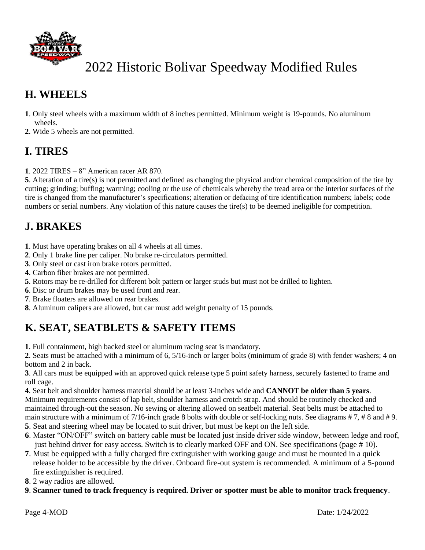

## **H. WHEELS**

- **1**. Only steel wheels with a maximum width of 8 inches permitted. Minimum weight is 19-pounds. No aluminum wheels.
- **2**. Wide 5 wheels are not permitted.

## **I. TIRES**

**1**. 2022 TIRES – 8" American racer AR 870.

**5**. Alteration of a tire(s) is not permitted and defined as changing the physical and/or chemical composition of the tire by cutting; grinding; buffing; warming; cooling or the use of chemicals whereby the tread area or the interior surfaces of the tire is changed from the manufacturer's specifications; alteration or defacing of tire identification numbers; labels; code numbers or serial numbers. Any violation of this nature causes the tire(s) to be deemed ineligible for competition.

## **J. BRAKES**

- **1**. Must have operating brakes on all 4 wheels at all times.
- **2**. Only 1 brake line per caliper. No brake re-circulators permitted.
- **3**. Only steel or cast iron brake rotors permitted.
- **4**. Carbon fiber brakes are not permitted.
- **5**. Rotors may be re-drilled for different bolt pattern or larger studs but must not be drilled to lighten.
- **6**. Disc or drum brakes may be used front and rear.
- **7**. Brake floaters are allowed on rear brakes.
- **8**. Aluminum calipers are allowed, but car must add weight penalty of 15 pounds.

## **K. SEAT, SEATBLETS & SAFETY ITEMS**

**1**. Full containment, high backed steel or aluminum racing seat is mandatory.

**2**. Seats must be attached with a minimum of 6, 5/16-inch or larger bolts (minimum of grade 8) with fender washers; 4 on bottom and 2 in back.

**3**. All cars must be equipped with an approved quick release type 5 point safety harness, securely fastened to frame and roll cage.

**4**. Seat belt and shoulder harness material should be at least 3-inches wide and **CANNOT be older than 5 years**. Minimum requirements consist of lap belt, shoulder harness and crotch strap. And should be routinely checked and maintained through-out the season. No sewing or altering allowed on seatbelt material. Seat belts must be attached to main structure with a minimum of 7/16-inch grade 8 bolts with double or self-locking nuts. See diagrams  $# 7, # 8$  and  $# 9$ . **5**. Seat and steering wheel may be located to suit driver, but must be kept on the left side.

- **6**. Master "ON/OFF" switch on battery cable must be located just inside driver side window, between ledge and roof, just behind driver for easy access. Switch is to clearly marked OFF and ON. See specifications (page # 10).
- **7**. Must be equipped with a fully charged fire extinguisher with working gauge and must be mounted in a quick release holder to be accessible by the driver. Onboard fire-out system is recommended. A minimum of a 5-pound fire extinguisher is required.
- **8**. 2 way radios are allowed.
- **9**. **Scanner tuned to track frequency is required. Driver or spotter must be able to monitor track frequency**.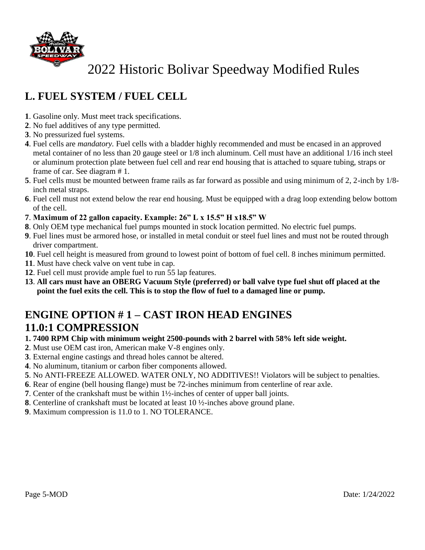

## **L. FUEL SYSTEM / FUEL CELL**

- . Gasoline only. Must meet track specifications.
- . No fuel additives of any type permitted.
- . No pressurized fuel systems.
- . Fuel cells are *mandatory.* Fuel cells with a bladder highly recommended and must be encased in an approved metal container of no less than 20 gauge steel or 1/8 inch aluminum. Cell must have an additional 1/16 inch steel or aluminum protection plate between fuel cell and rear end housing that is attached to square tubing, straps or frame of car. See diagram # 1.
- . Fuel cells must be mounted between frame rails as far forward as possible and using minimum of 2, 2-inch by 1/8 inch metal straps.
- . Fuel cell must not extend below the rear end housing. Must be equipped with a drag loop extending below bottom of the cell.
- . **Maximum of 22 gallon capacity. Example: 26" L x 15.5" H x18.5" W**
- . Only OEM type mechanical fuel pumps mounted in stock location permitted. No electric fuel pumps.
- . Fuel lines must be armored hose, or installed in metal conduit or steel fuel lines and must not be routed through driver compartment.
- . Fuel cell height is measured from ground to lowest point of bottom of fuel cell. 8 inches minimum permitted.
- . Must have check valve on vent tube in cap.
- . Fuel cell must provide ample fuel to run 55 lap features.
- . **All cars must have an OBERG Vacuum Style (preferred) or ball valve type fuel shut off placed at the point the fuel exits the cell. This is to stop the flow of fuel to a damaged line or pump.**

### **ENGINE OPTION # 1 – CAST IRON HEAD ENGINES 11.0:1 COMPRESSION**

#### **1. 7400 RPM Chip with minimum weight 2500-pounds with 2 barrel with 58% left side weight.**

- . Must use OEM cast iron, American make V-8 engines only.
- . External engine castings and thread holes cannot be altered.
- . No aluminum, titanium or carbon fiber components allowed.
- . No ANTI-FREEZE ALLOWED. WATER ONLY, NO ADDITIVES!! Violators will be subject to penalties.
- . Rear of engine (bell housing flange) must be 72-inches minimum from centerline of rear axle.
- . Center of the crankshaft must be within 1½-inches of center of upper ball joints.
- . Centerline of crankshaft must be located at least 10 ½-inches above ground plane.
- . Maximum compression is 11.0 to 1. NO TOLERANCE.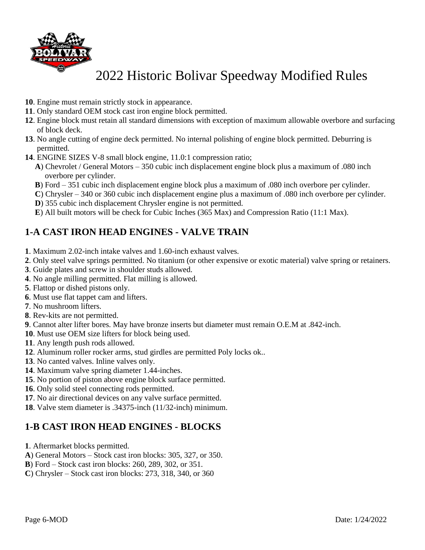

- . Engine must remain strictly stock in appearance.
- . Only standard OEM stock cast iron engine block permitted.
- . Engine block must retain all standard dimensions with exception of maximum allowable overbore and surfacing of block deck.
- . No angle cutting of engine deck permitted. No internal polishing of engine block permitted. Deburring is permitted.
- . ENGINE SIZES V-8 small block engine, 11.0:1 compression ratio;
	- **A**) Chevrolet / General Motors 350 cubic inch displacement engine block plus a maximum of .080 inch overbore per cylinder.
	- **B**) Ford 351 cubic inch displacement engine block plus a maximum of .080 inch overbore per cylinder.
	- **C**) Chrysler 340 or 360 cubic inch displacement engine plus a maximum of .080 inch overbore per cylinder.
	- **D**) 355 cubic inch displacement Chrysler engine is not permitted.
	- **E**) All built motors will be check for Cubic Inches (365 Max) and Compression Ratio (11:1 Max).

### **1-A CAST IRON HEAD ENGINES - VALVE TRAIN**

- . Maximum 2.02-inch intake valves and 1.60-inch exhaust valves.
- . Only steel valve springs permitted. No titanium (or other expensive or exotic material) valve spring or retainers.
- . Guide plates and screw in shoulder studs allowed.
- . No angle milling permitted. Flat milling is allowed.
- . Flattop or dished pistons only.
- . Must use flat tappet cam and lifters.
- . No mushroom lifters.
- . Rev-kits are not permitted.
- . Cannot alter lifter bores. May have bronze inserts but diameter must remain O.E.M at .842-inch.
- . Must use OEM size lifters for block being used.
- . Any length push rods allowed.
- . Aluminum roller rocker arms, stud girdles are permitted Poly locks ok..
- . No canted valves. Inline valves only.
- . Maximum valve spring diameter 1.44-inches.
- . No portion of piston above engine block surface permitted.
- . Only solid steel connecting rods permitted.
- . No air directional devices on any valve surface permitted.
- . Valve stem diameter is .34375-inch (11/32-inch) minimum.

#### **1-B CAST IRON HEAD ENGINES - BLOCKS**

- . Aftermarket blocks permitted.
- **A**) General Motors Stock cast iron blocks: 305, 327, or 350.
- **B**) Ford Stock cast iron blocks: 260, 289, 302, or 351.
- **C**) Chrysler Stock cast iron blocks: 273, 318, 340, or 360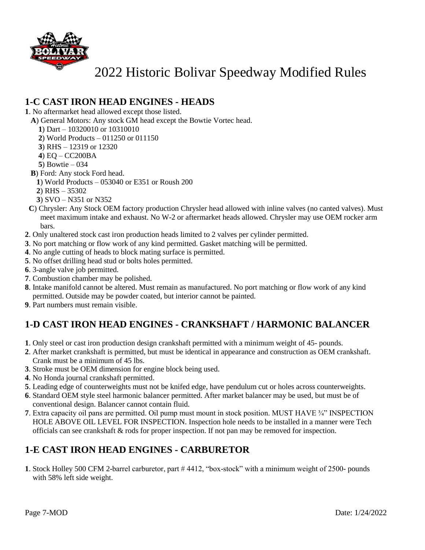

#### **1-C CAST IRON HEAD ENGINES - HEADS**

. No aftermarket head allowed except those listed.

- **A**) General Motors: Any stock GM head except the Bowtie Vortec head.
	- ) Dart 10320010 or 10310010
	- ) World Products 011250 or 011150
	- ) RHS 12319 or 12320
	- ) EQ CC200BA
	- ) Bowtie 034
- **B**) Ford: Any stock Ford head.
- ) World Products 053040 or E351 or Roush 200
- ) RHS 35302
- ) SVO N351 or N352
- **C**) Chrysler: Any Stock OEM factory production Chrysler head allowed with inline valves (no canted valves). Must meet maximum intake and exhaust. No W-2 or aftermarket heads allowed. Chrysler may use OEM rocker arm bars.
- . Only unaltered stock cast iron production heads limited to 2 valves per cylinder permitted.
- . No port matching or flow work of any kind permitted. Gasket matching will be permitted.
- . No angle cutting of heads to block mating surface is permitted.
- . No offset drilling head stud or bolts holes permitted.
- . 3-angle valve job permitted.
- . Combustion chamber may be polished.
- . Intake manifold cannot be altered. Must remain as manufactured. No port matching or flow work of any kind permitted. Outside may be powder coated, but interior cannot be painted.
- . Part numbers must remain visible.

### **1-D CAST IRON HEAD ENGINES - CRANKSHAFT / HARMONIC BALANCER**

- . Only steel or cast iron production design crankshaft permitted with a minimum weight of 45- pounds.
- . After market crankshaft is permitted, but must be identical in appearance and construction as OEM crankshaft. Crank must be a minimum of 45 lbs.
- . Stroke must be OEM dimension for engine block being used.
- . No Honda journal crankshaft permitted.
- . Leading edge of counterweights must not be knifed edge, have pendulum cut or holes across counterweights.
- . Standard OEM style steel harmonic balancer permitted. After market balancer may be used, but must be of conventional design. Balancer cannot contain fluid.
- . Extra capacity oil pans are permitted. Oil pump must mount in stock position. MUST HAVE ¾" INSPECTION HOLE ABOVE OIL LEVEL FOR INSPECTION. Inspection hole needs to be installed in a manner were Tech officials can see crankshaft & rods for proper inspection. If not pan may be removed for inspection.

#### **1-E CAST IRON HEAD ENGINES - CARBURETOR**

. Stock Holley 500 CFM 2-barrel carburetor, part # 4412, "box-stock" with a minimum weight of 2500- pounds with 58% left side weight.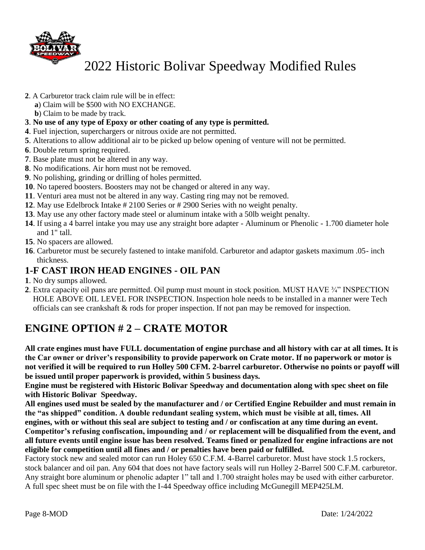

- **2**. A Carburetor track claim rule will be in effect:
	- **a**) Claim will be \$500 with NO EXCHANGE.
	- **b**) Claim to be made by track.
- **3**. **No use of any type of Epoxy or other coating of any type is permitted.**
- **4**. Fuel injection, superchargers or nitrous oxide are not permitted.
- **5**. Alterations to allow additional air to be picked up below opening of venture will not be permitted.
- **6**. Double return spring required.
- **7**. Base plate must not be altered in any way.
- **8**. No modifications. Air horn must not be removed.
- **9**. No polishing, grinding or drilling of holes permitted.
- **10**. No tapered boosters. Boosters may not be changed or altered in any way.
- **11**. Venturi area must not be altered in any way. Casting ring may not be removed.
- **12**. May use Edelbrock Intake # 2100 Series or # 2900 Series with no weight penalty.
- **13**. May use any other factory made steel or aluminum intake with a 50lb weight penalty.
- **14**. If using a 4 barrel intake you may use any straight bore adapter Aluminum or Phenolic 1.700 diameter hole and 1" tall.
- **15**. No spacers are allowed.
- **16**. Carburetor must be securely fastened to intake manifold. Carburetor and adaptor gaskets maximum .05- inch thickness.

#### **1-F CAST IRON HEAD ENGINES - OIL PAN**

- **1**. No dry sumps allowed.
- **2**. Extra capacity oil pans are permitted. Oil pump must mount in stock position. MUST HAVE ¾" INSPECTION HOLE ABOVE OIL LEVEL FOR INSPECTION. Inspection hole needs to be installed in a manner were Tech officials can see crankshaft & rods for proper inspection. If not pan may be removed for inspection.

### **ENGINE OPTION # 2 – CRATE MOTOR**

**All crate engines must have FULL documentation of engine purchase and all history with car at all times. It is the Car owner or driver's responsibility to provide paperwork on Crate motor. If no paperwork or motor is not verified it will be required to run Holley 500 CFM. 2-barrel carburetor. Otherwise no points or payoff will be issued until proper paperwork is provided, within 5 business days.** 

**Engine must be registered with Historic Bolivar Speedway and documentation along with spec sheet on file with Historic Bolivar Speedway.** 

**All engines used must be sealed by the manufacturer and / or Certified Engine Rebuilder and must remain in the "as shipped" condition. A double redundant sealing system, which must be visible at all, times. All engines, with or without this seal are subject to testing and / or confiscation at any time during an event.** 

**Competitor's refusing confiscation, impounding and / or replacement will be disqualified from the event, and all future events until engine issue has been resolved. Teams fined or penalized for engine infractions are not eligible for competition until all fines and / or penalties have been paid or fulfilled.** 

Factory stock new and sealed motor can run Holey 650 C.F.M. 4-Barrel carburetor. Must have stock 1.5 rockers, stock balancer and oil pan. Any 604 that does not have factory seals will run Holley 2-Barrel 500 C.F.M. carburetor. Any straight bore aluminum or phenolic adapter 1" tall and 1.700 straight holes may be used with either carburetor. A full spec sheet must be on file with the I-44 Speedway office including McGunegill MEP425LM.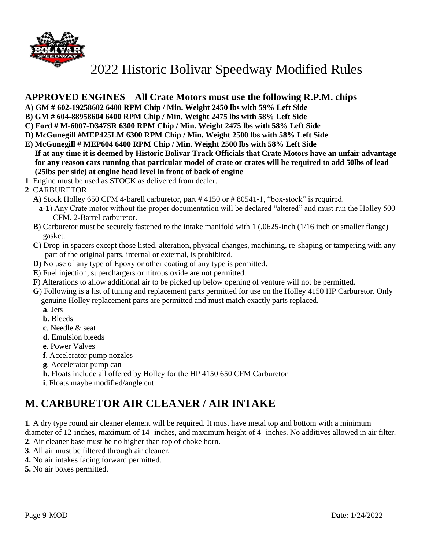

#### **APPROVED ENGINES** – **All Crate Motors must use the following R.P.M. chips**

- **A) GM # 602-19258602 6400 RPM Chip / Min. Weight 2450 lbs with 59% Left Side**
- **B) GM # 604-88958604 6400 RPM Chip / Min. Weight 2475 lbs with 58% Left Side**
- **C) Ford # M-6007-D347SR 6300 RPM Chip / Min. Weight 2475 lbs with 58% Left Side**
- **D) McGunegill #MEP425LM 6300 RPM Chip / Min. Weight 2500 lbs with 58% Left Side**
- **E) McGunegill # MEP604 6400 RPM Chip / Min. Weight 2500 lbs with 58% Left Side If at any time it is deemed by Historic Bolivar Track Officials that Crate Motors have an unfair advantage for any reason cars running that particular model of crate or crates will be required to add 50lbs of lead (25lbs per side) at engine head level in front of back of engine**
- **1**. Engine must be used as STOCK as delivered from dealer.
- **2**. CARBURETOR
	- **A**) Stock Holley 650 CFM 4-barell carburetor, part # 4150 or # 80541-1, "box-stock" is required.
		- **a-1**) Any Crate motor without the proper documentation will be declared "altered" and must run the Holley 500 CFM. 2-Barrel carburetor.
	- **B**) Carburetor must be securely fastened to the intake manifold with 1 (.0625-inch (1/16 inch or smaller flange) gasket.
	- **C**) Drop-in spacers except those listed, alteration, physical changes, machining, re-shaping or tampering with any part of the original parts, internal or external, is prohibited.
	- **D**) No use of any type of Epoxy or other coating of any type is permitted.
	- **E**) Fuel injection, superchargers or nitrous oxide are not permitted.
	- **F**) Alterations to allow additional air to be picked up below opening of venture will not be permitted.
	- **G**) Following is a list of tuning and replacement parts permitted for use on the Holley 4150 HP Carburetor. Only genuine Holley replacement parts are permitted and must match exactly parts replaced.  **a**. Jets
		-
		- **b**. Bleeds
		- **c**. Needle & seat
		- **d**. Emulsion bleeds
		- **e**. Power Valves
		- **f**. Accelerator pump nozzles
		- **g**. Accelerator pump can
		- **h**. Floats include all offered by Holley for the HP 4150 650 CFM Carburetor
		- **i**. Floats maybe modified/angle cut.

### **M. CARBURETOR AIR CLEANER / AIR INTAKE**

**1**. A dry type round air cleaner element will be required. It must have metal top and bottom with a minimum

diameter of 12-inches, maximum of 14- inches, and maximum height of 4- inches. No additives allowed in air filter.

- **2**. Air cleaner base must be no higher than top of choke horn.
- **3**. All air must be filtered through air cleaner.
- **4.** No air intakes facing forward permitted.
- **5.** No air boxes permitted.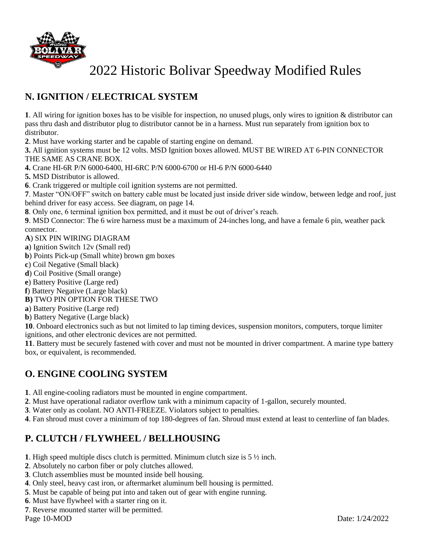

### **N. IGNITION / ELECTRICAL SYSTEM**

**1**. All wiring for ignition boxes has to be visible for inspection, no unused plugs, only wires to ignition & distributor can pass thru dash and distributor plug to distributor cannot be in a harness. Must run separately from ignition box to distributor.

**2**. Must have working starter and be capable of starting engine on demand.

**3.** All ignition systems must be 12 volts. MSD Ignition boxes allowed. MUST BE WIRED AT 6-PIN CONNECTOR THE SAME AS CRANE BOX.

**4.** Crane HI-6R P/N 6000-6400, HI-6RC P/N 6000-6700 or HI-6 P/N 6000-6440

**5.** MSD Distributor is allowed.

**6**. Crank triggered or multiple coil ignition systems are not permitted.

**7**. Master "ON/OFF" switch on battery cable must be located just inside driver side window, between ledge and roof, just behind driver for easy access. See diagram, on page 14.

**8**. Only one, 6 terminal ignition box permitted, and it must be out of driver's reach.

**9**. MSD Connector: The 6 wire harness must be a maximum of 24-inches long, and have a female 6 pin, weather pack connector.

**A**) SIX PIN WIRING DIAGRAM

- **a**) Ignition Switch 12v (Small red)
- **b**) Points Pick-up (Small white) brown gm boxes
- **c**) Coil Negative (Small black)
- **d**) Coil Positive (Small orange)
- **e**) Battery Positive (Large red)
- **f**) Battery Negative (Large black)
- **B)** TWO PIN OPTION FOR THESE TWO
- **a**) Battery Positive (Large red)
- **b**) Battery Negative (Large black)

**10**. Onboard electronics such as but not limited to lap timing devices, suspension monitors, computers, torque limiter ignitions, and other electronic devices are not permitted.

**11**. Battery must be securely fastened with cover and must not be mounted in driver compartment. A marine type battery box, or equivalent, is recommended.

### **O. ENGINE COOLING SYSTEM**

**1**. All engine-cooling radiators must be mounted in engine compartment.

**2**. Must have operational radiator overflow tank with a minimum capacity of 1-gallon, securely mounted.

**3**. Water only as coolant. NO ANTI-FREEZE. Violators subject to penalties.

**4**. Fan shroud must cover a minimum of top 180-degrees of fan. Shroud must extend at least to centerline of fan blades.

#### **P. CLUTCH / FLYWHEEL / BELLHOUSING**

**1**. High speed multiple discs clutch is permitted. Minimum clutch size is 5 ½ inch.

- **2**. Absolutely no carbon fiber or poly clutches allowed.
- **3**. Clutch assemblies must be mounted inside bell housing.
- **4**. Only steel, heavy cast iron, or aftermarket aluminum bell housing is permitted.
- **5**. Must be capable of being put into and taken out of gear with engine running.
- **6**. Must have flywheel with a starter ring on it.
- **7**. Reverse mounted starter will be permitted.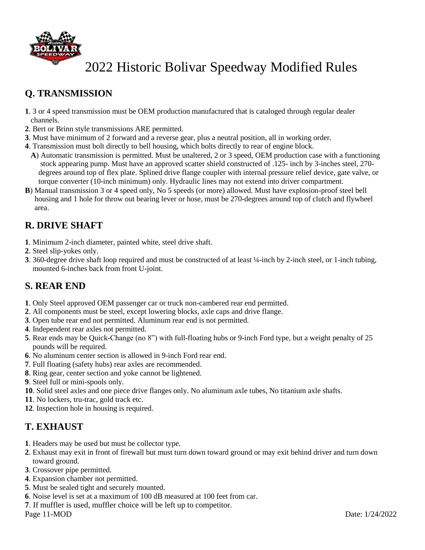

### **Q. TRANSMISSION**

- . 3 or 4 speed transmission must be OEM production manufactured that is cataloged through regular dealer channels.
- . Bert or Brinn style transmissions ARE permitted.
- . Must have minimum of 2 forward and a reverse gear, plus a neutral position, all in working order.
- . Transmission must bolt directly to bell housing, which bolts directly to rear of engine block.
- **A**) Automatic transmission is permitted. Must be unaltered, 2 or 3 speed, OEM production case with a functioning stock appearing pump. Must have an approved scatter shield constructed of .125- inch by 3-inches steel, 270 degrees around top of flex plate. Splined drive flange coupler with internal pressure relief device, gate valve, or torque converter (10-inch minimum) only. Hydraulic lines may not extend into driver compartment.
- **B**) Manual transmission 3 or 4 speed only, No 5 speeds (or more) allowed. Must have explosion-proof steel bell housing and 1 hole for throw out bearing lever or hose, must be 270-degrees around top of clutch and flywheel area.

#### **R. DRIVE SHAFT**

- . Minimum 2-inch diameter, painted white, steel drive shaft.
- . Steel slip-yokes only.
- . 360-degree drive shaft loop required and must be constructed of at least ¼-inch by 2-inch steel, or 1-inch tubing, mounted 6-inches back from front U-joint.

#### **S. REAR END**

- . Only Steel approved OEM passenger car or truck non-cambered rear end permitted.
- . All components must be steel, except lowering blocks, axle caps and drive flange.
- . Open tube rear end not permitted. Aluminum rear end is not permitted.
- . Independent rear axles not permitted.
- . Rear ends may be Quick-Change (no 8") with full-floating hubs or 9-inch Ford type, but a weight penalty of 25 pounds will be required.
- . No aluminum center section is allowed in 9-inch Ford rear end.
- . Full floating (safety hubs) rear axles are recommended.
- . Ring gear, center section and yoke cannot be lightened.
- . Steel full or mini-spools only.
- . Solid steel axles and one piece drive flanges only. No aluminum axle tubes, No titanium axle shafts.
- . No lockers, tru-trac, gold track etc.
- . Inspection hole in housing is required.

#### **T. EXHAUST**

- . Headers may be used but must be collector type.
- . Exhaust may exit in front of firewall but must turn down toward ground or may exit behind driver and turn down toward ground.
- . Crossover pipe permitted.
- . Expansion chamber not permitted.
- . Must be sealed tight and securely mounted.
- . Noise level is set at a maximum of 100 dB measured at 100 feet from car.
- . If muffler is used, muffler choice will be left up to competitor.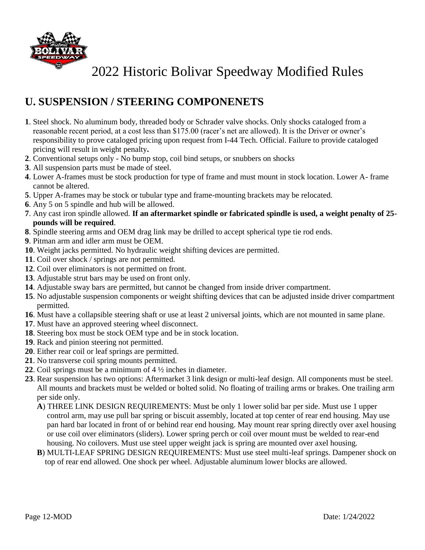

## **U. SUSPENSION / STEERING COMPONENETS**

- **1**. Steel shock. No aluminum body, threaded body or Schrader valve shocks. Only shocks cataloged from a reasonable recent period, at a cost less than \$175.00 (racer's net are allowed). It is the Driver or owner's responsibility to prove cataloged pricing upon request from I-44 Tech. Official. Failure to provide cataloged pricing will result in weight penalty**.**
- **2**. Conventional setups only No bump stop, coil bind setups, or snubbers on shocks
- **3**. All suspension parts must be made of steel.
- **4**. Lower A-frames must be stock production for type of frame and must mount in stock location. Lower A- frame cannot be altered.
- **5**. Upper A-frames may be stock or tubular type and frame-mounting brackets may be relocated.
- **6**. Any 5 on 5 spindle and hub will be allowed.
- **7**. Any cast iron spindle allowed. **If an aftermarket spindle or fabricated spindle is used, a weight penalty of 25 pounds will be required**.
- **8**. Spindle steering arms and OEM drag link may be drilled to accept spherical type tie rod ends.
- **9**. Pitman arm and idler arm must be OEM.
- **10**. Weight jacks permitted. No hydraulic weight shifting devices are permitted.
- **11**. Coil over shock / springs are not permitted.
- **12**. Coil over eliminators is not permitted on front.
- **13**. Adjustable strut bars may be used on front only.
- **14**. Adjustable sway bars are permitted, but cannot be changed from inside driver compartment.
- **15**. No adjustable suspension components or weight shifting devices that can be adjusted inside driver compartment permitted.
- **16**. Must have a collapsible steering shaft or use at least 2 universal joints, which are not mounted in same plane.
- **17**. Must have an approved steering wheel disconnect.
- **18**. Steering box must be stock OEM type and be in stock location.
- **19**. Rack and pinion steering not permitted.
- **20**. Either rear coil or leaf springs are permitted.
- **21**. No transverse coil spring mounts permitted.
- **22**. Coil springs must be a minimum of 4 ½ inches in diameter.
- **23**. Rear suspension has two options: Aftermarket 3 link design or multi-leaf design. All components must be steel. All mounts and brackets must be welded or bolted solid. No floating of trailing arms or brakes. One trailing arm per side only.
	- **A**) THREE LINK DESIGN REQUIREMENTS: Must be only 1 lower solid bar per side. Must use 1 upper control arm, may use pull bar spring or biscuit assembly, located at top center of rear end housing. May use pan hard bar located in front of or behind rear end housing. May mount rear spring directly over axel housing or use coil over eliminators (sliders). Lower spring perch or coil over mount must be welded to rear-end housing. No coilovers. Must use steel upper weight jack is spring are mounted over axel housing.
	- **B**) MULTI-LEAF SPRING DESIGN REQUIREMENTS: Must use steel multi-leaf springs. Dampener shock on top of rear end allowed. One shock per wheel. Adjustable aluminum lower blocks are allowed.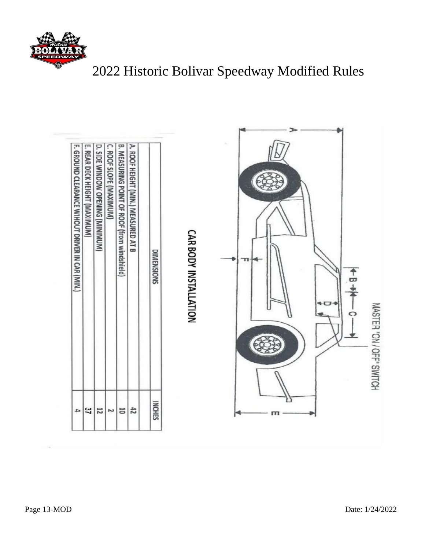